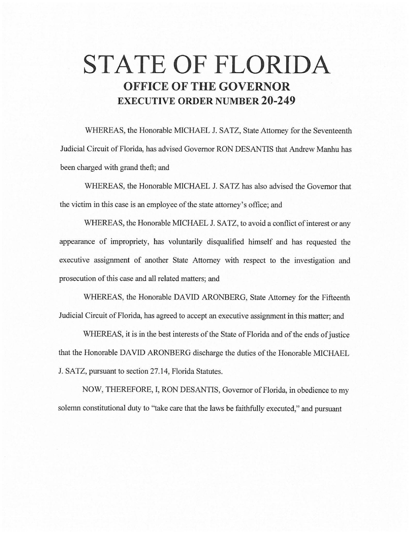# **STATE OF FLORIDA OFFICE OF THE GOVERNOR EXECUTIVE ORDER NUMBER 20-249**

WHEREAS, the Honorable MICHAEL J. SATZ, State Attorney for the Seventeenth Judicial Circuit of Florida, has advised Governor RON DESANTIS that Andrew Manhu has been charged with grand theft; and

WHEREAS, the Honorable MICHAEL J. SATZ has also advised the Governor that the victim in this case is an employee of the state attorney's office; and

WHEREAS, the Honorable MICHAEL J. SATZ, to avoid a conflict of interest or any appearance of impropriety, has voluntarily disqualified himself and has requested the executive assignment of another State Attorney with respect to the investigation and prosecution of this case and all related matters; and

WHEREAS, the Honorable DAVID ARONBERG, State Attorney for the Fifteenth Judicial Circuit of Florida, has agreed to accept an executive assignment in this matter; and

WHEREAS, it is in the best interests of the State of Florida and of the ends of justice that the Honorable DAVID ARONBERG discharge the duties of the Honorable MICHAEL J. SATZ, pursuant to section 27.14, Florida Statutes.

NOW, THEREFORE, I, RON DESANTIS, Governor of Florida, in obedience to my solemn constitutional duty to "take care that the laws be faithfully executed," and pursuant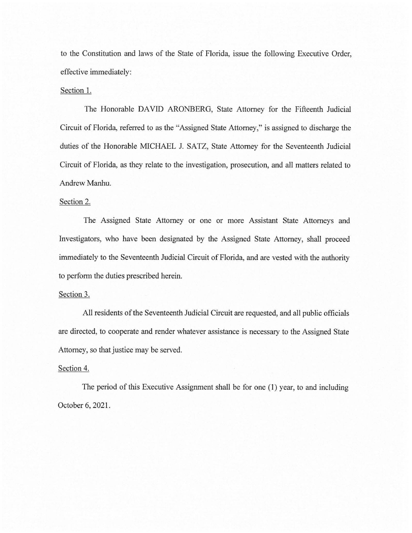to the Constitution and laws of the State of Florida, issue the following Executive Order, effective immediately:

#### Section 1.

The Honorable DAVID ARONBERG, State Attorney for the Fifteenth Judicial Circuit of Florida, referred to as the "Assigned State Attorney," is assigned to discharge the duties of the Honorable MICHAEL J. SATZ, State Attorney for the Seventeenth Judicial Circuit of Florida, as they relate to the investigation, prosecution, and all matters related to Andrew Manhu.

### Section 2.

The Assigned State Attorney or one or more Assistant State Attorneys and Investigators, who have been designated by the Assigned State Attorney, shall proceed immediately to the Seventeenth Judicial Circuit of Florida, and are vested with the authority to perform the duties prescribed herein.

### Section 3.

All residents of the Seventeenth Judicial Circuit are requested, and all public officials are directed, to cooperate and render whatever assistance is necessary to the Assigned State Attorney, so that justice may be served.

## Section 4.

The period of this Executive Assignment shall be for one (1) year, to and including October 6, 2021.